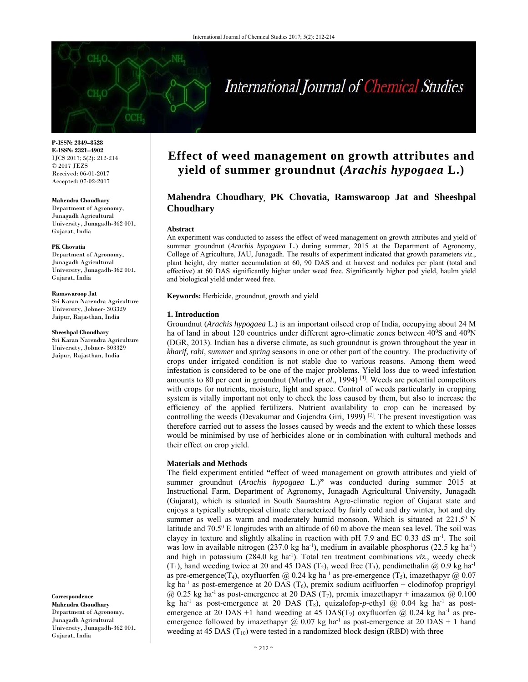# International Journal of Chemical Studies

**P-ISSN: 2349–8528 E-ISSN: 2321–4902**  IJCS 2017; 5(2): 212-214 © 2017 JEZS Received: 06-01-2017 Accepted: 07-02-2017

#### **Mahendra Choudhary**

Department of Agronomy, Junagadh Agricultural University, Junagadh-362 001, Gujarat, India

#### **PK Chovatia**

Department of Agronomy, Junagadh Agricultural University, Junagadh-362 001, Gujarat, India

#### **Ramswaroop Jat**

Sri Karan Narendra Agriculture University, Jobner- 303329 Jaipur, Rajasthan, India

#### **Sheeshpal Choudhary**

Sri Karan Narendra Agriculture University, Jobner- 303329 Jaipur, Rajasthan, India

**Correspondence Mahendra Choudhary**  Department of Agronomy, Junagadh Agricultural University, Junagadh-362 001, Gujarat, India

# **Effect of weed management on growth attributes and yield of summer groundnut (***Arachis hypogaea* **L.)**

# **Mahendra Choudhary, PK Chovatia, Ramswaroop Jat and Sheeshpal Choudhary**

#### **Abstract**

An experiment was conducted to assess the effect of weed management on growth attributes and yield of summer groundnut (*Arachis hypogaea* L.) during summer, 2015 at the Department of Agronomy, College of Agriculture, JAU, Junagadh. The results of experiment indicated that growth parameters *viz*., plant height, dry matter accumulation at 60, 90 DAS and at harvest and nodules per plant (total and effective) at 60 DAS significantly higher under weed free. Significantly higher pod yield, haulm yield and biological yield under weed free.

**Keywords:** Herbicide, groundnut, growth and yield

#### **1. Introduction**

Groundnut (*Arachis hypogaea* L.) is an important oilseed crop of India, occupying about 24 M ha of land in about 120 countries under different agro-climatic zones between  $40^{\circ}$ S and  $40^{\circ}$ N (DGR, 2013). Indian has a diverse climate, as such groundnut is grown throughout the year in *kharif, rabi, summer* and *spring* seasons in one or other part of the country. The productivity of crops under irrigated condition is not stable due to various reasons. Among them weed infestation is considered to be one of the major problems. Yield loss due to weed infestation amounts to 80 per cent in groundnut (Murthy *et al*., 1994) [4]. Weeds are potential competitors with crops for nutrients, moisture, light and space. Control of weeds particularly in cropping system is vitally important not only to check the loss caused by them, but also to increase the efficiency of the applied fertilizers. Nutrient availability to crop can be increased by controlling the weeds (Devakumar and Gajendra Giri, 1999)<sup>[2]</sup>. The present investigation was therefore carried out to assess the losses caused by weeds and the extent to which these losses would be minimised by use of herbicides alone or in combination with cultural methods and their effect on crop yield.

#### **Materials and Methods**

The field experiment entitled **"**effect of weed management on growth attributes and yield of summer groundnut (*Arachis hypogaea* L.)**"** was conducted during summer 2015 at Instructional Farm, Department of Agronomy, Junagadh Agricultural University, Junagadh (Gujarat), which is situated in South Saurashtra Agro-climatic region of Gujarat state and enjoys a typically subtropical climate characterized by fairly cold and dry winter, hot and dry summer as well as warm and moderately humid monsoon. Which is situated at  $221.5^{\circ}$  N latitude and  $70.5^{\circ}$  E longitudes with an altitude of 60 m above the mean sea level. The soil was clayey in texture and slightly alkaline in reaction with pH 7.9 and EC 0.33 dS  $m<sup>-1</sup>$ . The soil was low in available nitrogen (237.0 kg ha<sup>-1</sup>), medium in available phosphorus (22.5 kg ha<sup>-1</sup>) and high in potassium (284.0 kg ha-1). Total ten treatment combinations *viz.,* weedy check  $(T_1)$ , hand weeding twice at 20 and 45 DAS  $(T_2)$ , weed free  $(T_3)$ , pendimethalin  $\omega$  0.9 kg ha<sup>-1</sup> as pre-emergence(T<sub>4</sub>), oxyfluorfen @ 0.24 kg ha<sup>-1</sup> as pre-emergence (T<sub>5</sub>), imazethapyr @ 0.07 kg ha<sup>-1</sup> as post-emergence at 20 DAS (T<sub>6</sub>), premix sodium acifluorfen + clodinofop proprigyl  $\omega$  0.25 kg ha<sup>-1</sup> as post-emergence at 20 DAS (T<sub>7</sub>), premix imazethapyr + imazamox  $\omega$  0.100 kg ha<sup>-1</sup> as post-emergence at 20 DAS  $(T_8)$ , quizalofop-p-ethyl  $\omega$  0.04 kg ha<sup>-1</sup> as postemergence at 20 DAS +1 hand weeding at 45 DAS(T<sub>9</sub>) oxyfluorfen  $@$  0.24 kg ha<sup>-1</sup> as preemergence followed by imazethapyr  $\omega$  0.07 kg ha<sup>-1</sup> as post-emergence at 20 DAS + 1 hand weeding at 45 DAS  $(T_{10})$  were tested in a randomized block design (RBD) with three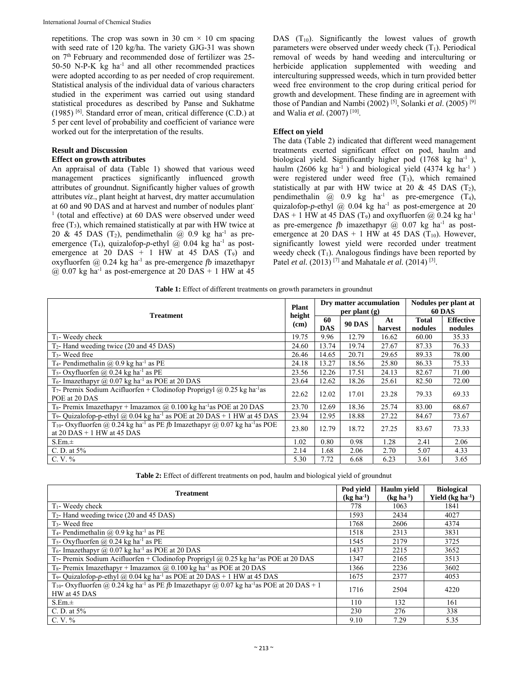repetitions. The crop was sown in 30 cm  $\times$  10 cm spacing with seed rate of 120 kg/ha. The variety GJG-31 was shown on 7th February and recommended dose of fertilizer was 25- 50-50 N-P-K kg ha<sup>-1</sup> and all other recommended practices were adopted according to as per needed of crop requirement. Statistical analysis of the individual data of various characters studied in the experiment was carried out using standard statistical procedures as described by Panse and Sukhatme (1985) [6]. Standard error of mean, critical difference (C.D.) at 5 per cent level of probability and coefficient of variance were worked out for the interpretation of the results.

## **Result and Discussion Effect on growth attributes**

An appraisal of data (Table 1) showed that various weed management practices significantly influenced growth attributes of groundnut. Significantly higher values of growth attributes *viz*., plant height at harvest, dry matter accumulation at 60 and 90 DAS and at harvest and number of nodules plant-<sup>1</sup> (total and effective) at 60 DAS were observed under weed free  $(T_3)$ , which remained statistically at par with HW twice at 20 & 45 DAS  $(T_2)$ , pendimethalin @ 0.9 kg ha<sup>-1</sup> as preemergence (T<sub>4</sub>), quizalofop-*p*-ethyl  $\omega$  0.04 kg ha<sup>-1</sup> as postemergence at 20 DAS  $+$  1 HW at 45 DAS (T<sub>9</sub>) and oxyfluorfen @ 0.24 kg ha-1 as pre-emergence *fb* imazethapyr  $@$  0.07 kg ha<sup>-1</sup> as post-emergence at 20 DAS + 1 HW at 45

DAS  $(T_{10})$ . Significantly the lowest values of growth parameters were observed under weedy check  $(T_1)$ . Periodical removal of weeds by hand weeding and interculturing or herbicide application supplemented with weeding and interculturing suppressed weeds, which in turn provided better weed free environment to the crop during critical period for growth and development. These finding are in agreement with those of Pandian and Nambi (2002) [5], Solanki *et al*. (2005) [9] and Walia *et al.* (2007) [10].

# **Effect on yield**

The data (Table 2) indicated that different weed management treatments exerted significant effect on pod, haulm and biological yield. Significantly higher pod (1768 kg ha<sup>-1</sup>), haulm (2606 kg ha<sup>-1</sup>) and biological yield (4374 kg ha<sup>-1</sup>) were registered under weed free (T<sub>3</sub>), which remained statistically at par with HW twice at 20 & 45 DAS  $(T_2)$ , pendimethalin  $\overline{(a)}$  0.9 kg ha<sup>-1</sup> as pre-emergence  $(T_4)$ , quizalofop-*p*-ethyl  $\omega$  0.04 kg ha<sup>-1</sup> as post-emergence at 20 DAS + 1 HW at 45 DAS (T<sub>9</sub>) and oxyfluorfen @ 0.24 kg ha<sup>-1</sup> as pre-emergence *fb* imazethapyr  $(a)$  0.07 kg ha<sup>-1</sup> as postemergence at 20 DAS + 1 HW at 45 DAS  $(T_{10})$ . However, significantly lowest yield were recorded under treatment weedy check  $(T_1)$ . Analogous findings have been reported by Patel *et al.* (2013)<sup>[7]</sup> and Mahatale *et al.* (2014)<sup>[3]</sup>.

|  |  | <b>Table 1:</b> Effect of different treatments on growth parameters in groundnut |  |  |  |
|--|--|----------------------------------------------------------------------------------|--|--|--|
|  |  |                                                                                  |  |  |  |

|                                                                                                                                                 |                | Dry matter accumulation<br>per plant $(g)$ |               |               | Nodules per plant at<br><b>60 DAS</b> |                             |
|-------------------------------------------------------------------------------------------------------------------------------------------------|----------------|--------------------------------------------|---------------|---------------|---------------------------------------|-----------------------------|
| <b>Treatment</b>                                                                                                                                | height<br>(cm) | 60<br><b>DAS</b>                           | <b>90 DAS</b> | At<br>harvest | <b>Total</b><br>nodules               | <b>Effective</b><br>nodules |
| $T_1$ - Weedy check                                                                                                                             | 19.75          | 9.96                                       | 12.79         | 16.62         | 60.00                                 | 35.33                       |
| $T_2$ - Hand weeding twice (20 and 45 DAS)                                                                                                      | 24.60          | 13.74                                      | 19.74         | 27.67         | 87.33                                 | 76.33                       |
| $T_3$ - Weed free                                                                                                                               | 26.46          | 14.65                                      | 20.71         | 29.65         | 89.33                                 | 78.00                       |
| T <sub>4</sub> -Pendimethalin @ $0.9$ kg ha <sup>-1</sup> as PE                                                                                 | 24.18          | 13.27                                      | 18.56         | 25.80         | 86.33                                 | 75.33                       |
| T <sub>5</sub> -Oxyfluorfen @ 0.24 kg ha <sup>-1</sup> as PE                                                                                    | 23.56          | 12.26                                      | 17.51         | 24.13         | 82.67                                 | 71.00                       |
| T <sub>6</sub> - Imazethapyr $\omega$ 0.07 kg ha <sup>-1</sup> as POE at 20 DAS                                                                 | 23.64          | 12.62                                      | 18.26         | 25.61         | 82.50                                 | 72.00                       |
| T <sub>7</sub> - Premix Sodium Acifluorfen + Clodinofop Proprigyl @ 0.25 kg ha <sup>-1</sup> as<br>POE at 20 DAS                                | 22.62          | 12.02                                      | 17.01         | 23.28         | 79.33                                 | 69.33                       |
| T <sub>8</sub> - Premix Imazethapyr + Imazamox $\omega$ 0.100 kg ha <sup>-1</sup> as POE at 20 DAS                                              | 23.70          | 12.69                                      | 18.36         | 25.74         | 83.00                                 | 68.67                       |
| T <sub>9</sub> - Quizalofop-p-ethyl @ 0.04 kg ha <sup>-1</sup> as POE at 20 DAS + 1 HW at 45 DAS                                                | 23.94          | 12.95                                      | 18.88         | 27.22         | 84.67                                 | 73.67                       |
| T <sub>10</sub> - Oxyfluorfen @ 0.24 kg ha <sup>-1</sup> as PE fb Imazethapyr @ 0.07 kg ha <sup>-1</sup> as POE<br>at $20$ DAS + 1 HW at 45 DAS | 23.80          | 12.79                                      | 18.72         | 27.25         | 83.67                                 | 73.33                       |
| S.Em.±                                                                                                                                          | 1.02           | 0.80                                       | 0.98          | 1.28          | 2.41                                  | 2.06                        |
| C. D. at $5\%$                                                                                                                                  | 2.14           | 1.68                                       | 2.06          | 2.70          | 5.07                                  | 4.33                        |
| C. V. %                                                                                                                                         | 5.30           | 7.72                                       | 6.68          | 6.23          | 3.61                                  | 3.65                        |

**Table 2:** Effect of different treatments on pod, haulm and biological yield of groundnut

| <b>Treatment</b>                                                                                                                                    | Pod vield<br>$(kg ha-1)$ | <b>Haulm</b> yield<br>(kg ha <sup>1</sup> ) | <b>Biological</b><br>Yield $(kg ha-1)$ |
|-----------------------------------------------------------------------------------------------------------------------------------------------------|--------------------------|---------------------------------------------|----------------------------------------|
| $T_1$ - Weedy check                                                                                                                                 | 778                      | 1063                                        | 1841                                   |
| $T_2$ - Hand weeding twice (20 and 45 DAS)                                                                                                          | 1593                     | 2434                                        | 4027                                   |
| T <sub>3</sub> - Weed free                                                                                                                          | 1768                     | 2606                                        | 4374                                   |
| T <sub>4</sub> - Pendimethalin @ 0.9 kg ha <sup>-1</sup> as PE                                                                                      | 1518                     | 2313                                        | 3831                                   |
| T <sub>5</sub> - Oxyfluorfen @ 0.24 kg ha <sup>-1</sup> as PE                                                                                       | 1545                     | 2179                                        | 3725                                   |
| T <sub>6</sub> - Imazethapyr $@$ 0.07 kg ha <sup>-1</sup> as POE at $20$ DAS                                                                        | 1437                     | 2215                                        | 3652                                   |
| T7- Premix Sodium Acifluorfen + Clodinofop Proprigyl @ 0.25 kg ha <sup>-1</sup> as POE at 20 DAS                                                    | 1347                     | 2165                                        | 3513                                   |
| T <sub>8</sub> - Premix Imazethapyr + Imazamox @ $0.100$ kg ha <sup>-1</sup> as POE at 20 DAS                                                       | 1366                     | 2236                                        | 3602                                   |
| T <sub>9</sub> - Quizalofop-p-ethyl @ 0.04 kg ha <sup>-1</sup> as POE at 20 DAS + 1 HW at 45 DAS                                                    | 1675                     | 2377                                        | 4053                                   |
| T <sub>10</sub> -Oxyfluorfen @ 0.24 kg ha <sup>-1</sup> as PE <i>fb</i> Imazethapyr @ 0.07 kg ha <sup>-1</sup> as POE at 20 DAS + 1<br>HW at 45 DAS | 1716                     | 2504                                        | 4220                                   |
| S.Em.±                                                                                                                                              | 110                      | 132                                         | 161                                    |
| C. D. at $5\%$                                                                                                                                      | 230                      | 276                                         | 338                                    |
| $C. V. \%$                                                                                                                                          | 9.10                     | 7.29                                        | 5.35                                   |